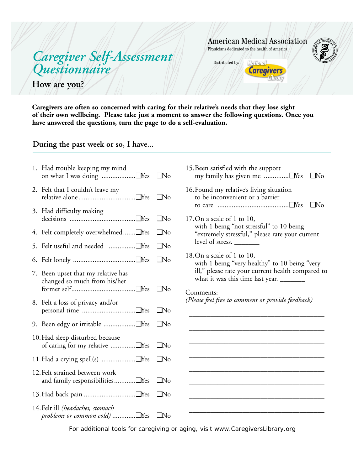# *Caregiver Self-Assessment Questionnaire*

**How are you?** 

American Medical Association Physicians dedicated to the health of America

Distributed by:



**Caregivers are often so concerned with caring for their relative's needs that they lose sight of their own wellbeing. Please take just a moment to answer the following questions. Once you have answered the questions, turn the page to do a self-evaluation.** 

## **During the past week or so, I have...**

|    | 1. Had trouble keeping my mind                                         |              |
|----|------------------------------------------------------------------------|--------------|
|    | 2. Felt that I couldn't leave my                                       |              |
| 3. | Had difficulty making                                                  | $\Box$ No    |
|    | 4. Felt completely overwhelmed Yes                                     | $\square$ No |
|    |                                                                        | $\Box$ No    |
|    |                                                                        | $\square$ No |
|    | 7. Been upset that my relative has<br>changed so much from his/her     | $\Box$ No    |
|    | 8. Felt a loss of privacy and/or                                       |              |
|    |                                                                        |              |
|    | 10. Had sleep disturbed because                                        |              |
|    | 11. Had a crying spell(s) □Yes □No                                     |              |
|    | 12. Felt strained between work<br>and family responsibilities TYes DNo |              |
|    |                                                                        | $\Box$ No    |
|    | 14. Felt ill (headaches, stomach<br>problems or common cold) IYes INo  |              |

| 15. Been satisfied with the support                                                                                                                                       | UN <sub>0</sub> |
|---------------------------------------------------------------------------------------------------------------------------------------------------------------------------|-----------------|
| 16. Found my relative's living situation<br>to be inconvenient or a barrier                                                                                               | $\Box$ No       |
| 17. On a scale of 1 to 10,<br>with 1 being "not stressful" to 10 being<br>"extremely stressful," please rate your current<br>level of stress.                             |                 |
| 18. On a scale of 1 to $10$ ,<br>with 1 being "very healthy" to 10 being "very<br>ill," please rate your current health compared to<br>what it was this time last year. _ |                 |
| Comments:<br>(Please feel free to comment or provide feedback)                                                                                                            |                 |
|                                                                                                                                                                           |                 |
|                                                                                                                                                                           |                 |
|                                                                                                                                                                           |                 |

For additional tools for caregiving or aging, visit www.CaregiversLibrary.org